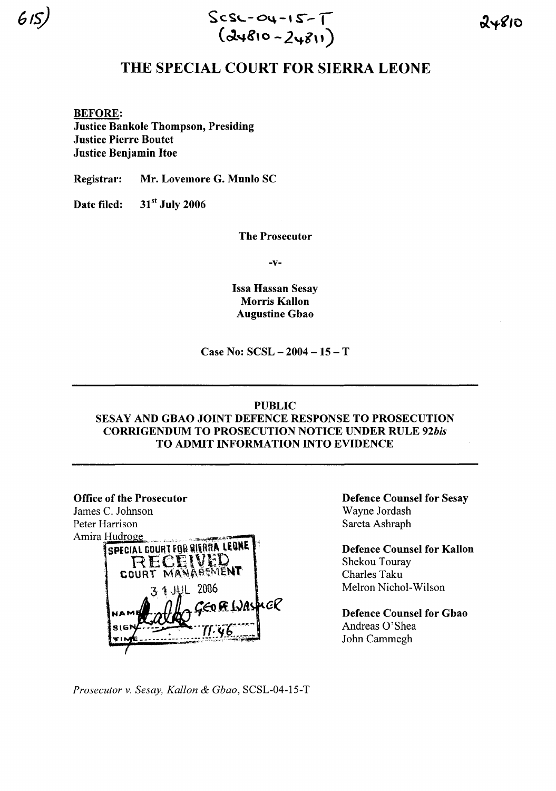

 $615$ ) Scsc-04-15- $\overline{1}$ (~",g,0 - *2't-i\')*

## THE SPECIAL COURT FOR SIERRA LEONE

BEFORE: Justice Bankole Thompson, Presiding Justice Pierre Boutet Justice Benjamin Hoe

Registrar: Mr. Lovemore G. Munlo SC

Date filed: 31<sup>st</sup> July 2006

The Prosecutor

-v-

Issa Hassan Sesay Morris Kallon Augustine Gbao

Case No: SCSL - 2004 - 15 - T

## PUBLIC

SESAY AND GBAO JOINT DEFENCE RESPONSE TO PROSECUTION CORRIGENDUM TO PROSECUTION NOTICE UNDER RULE *92bis* TO ADMIT INFORMATION INTO EVIDENCE

**Office of the Prosecutor** James C. Johnson Peter Harrison Amira Hudroge SPECIAL COURT FOR SIERRA LEONE RECEIVED 4. ALL 2006 nGR CO FE WAS

Defence Counsel for Sesay Wayne Jordash Sareta Ashraph

Defence Counsel for Kallon Shekou Touray Charles Taku Melron Nichol-Wilson

Defence Counsel for Gbao Andreas 0'Shea John Cammegh

*Prosecutor* v. *Sesay, Kallon* & *Gbao,* SCSL-04-15-T